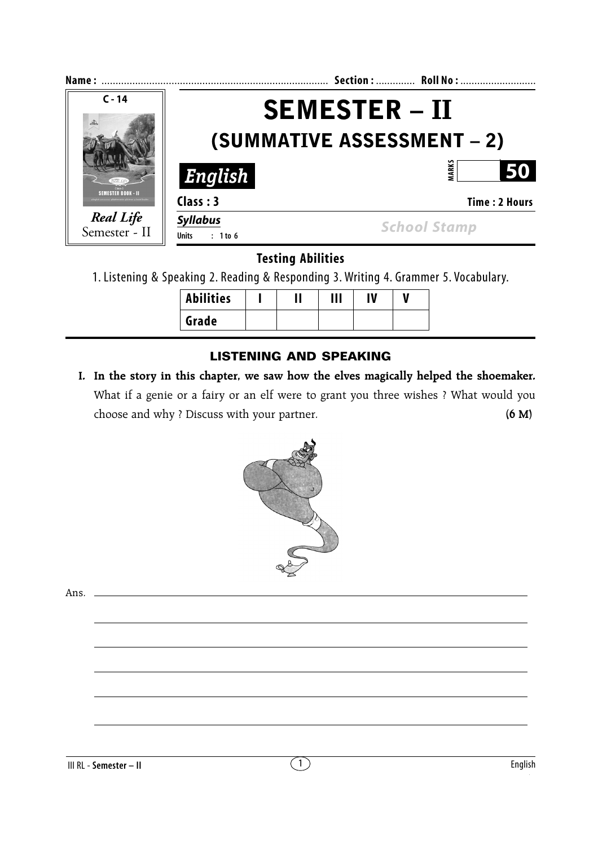| Name:                             |                                                           | Section:  Roll No:  |  |
|-----------------------------------|-----------------------------------------------------------|---------------------|--|
| $C - 14$                          | <b>SEMESTER – II</b><br><b>(SUMMATIVE ASSESSMENT – 2)</b> |                     |  |
|                                   |                                                           |                     |  |
|                                   | English                                                   | ARK:<br>50          |  |
| SEMESTER ROOK – II                | Class: 3                                                  | Time: 2 Hours       |  |
| <b>Real Life</b><br>Semester - II | <b>Syllabus</b><br><b>Units</b><br>$: 1$ to 6             | <b>School Stamp</b> |  |

**Testing Abilities**

1. Listening & Speaking 2. Reading & Responding 3. Writing 4. Grammer 5. Vocabulary.

| <b>Abilities</b> |  | Ш | IV |  |
|------------------|--|---|----|--|
| Grade            |  |   |    |  |

# **LISTENING AND SPEAKING**

 **I. In the story in this chapter, we saw how the elves magically helped the shoemaker.** What if a genie or a fairy or an elf were to grant you three wishes ? What would you choose and why ? Discuss with your partner. **(6 M)**



Ans.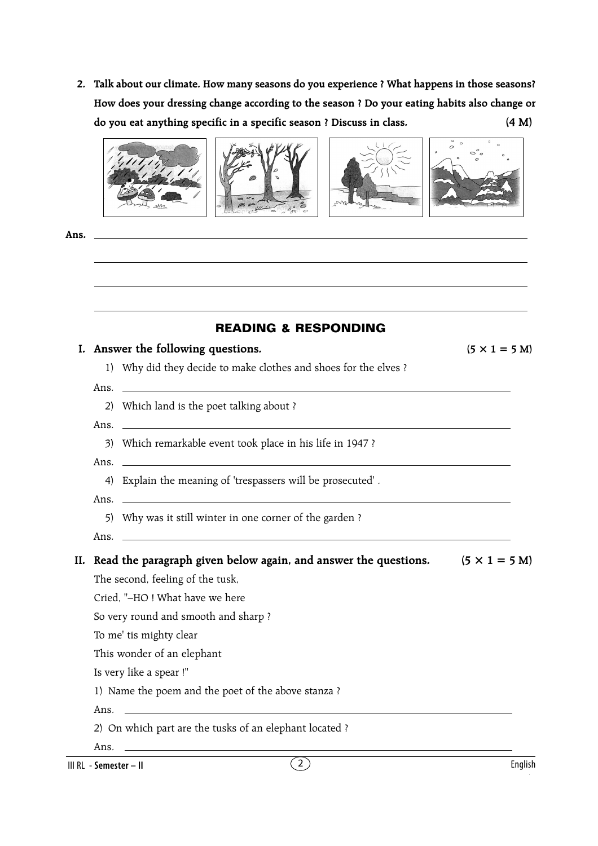**2. Talk about our climate. How many seasons do you experience ? What happens in those seasons? How does your dressing change according to the season ? Do your eating habits also change or do you eat anything specific in a specific season ? Discuss in class. (4 M)**



**Ans.**

| <b>READING &amp; RESPONDING</b>                                                                  |                      |
|--------------------------------------------------------------------------------------------------|----------------------|
| I. Answer the following questions.                                                               | $(5 \times 1 = 5$ M) |
| 1) Why did they decide to make clothes and shoes for the elves ?                                 |                      |
| Ans.                                                                                             |                      |
| 2) Which land is the poet talking about ?                                                        |                      |
| Ans. $\overline{\phantom{a}}$                                                                    |                      |
| 3) Which remarkable event took place in his life in 1947 ?                                       |                      |
|                                                                                                  |                      |
| 4) Explain the meaning of 'trespassers will be prosecuted'.                                      |                      |
|                                                                                                  |                      |
| 5) Why was it still winter in one corner of the garden?                                          |                      |
| Ans. $\overline{\phantom{a}}$                                                                    |                      |
| II. Read the paragraph given below again, and answer the questions. $(5 \times 1 = 5 \text{ M})$ |                      |
| The second, feeling of the tusk,                                                                 |                      |
| Cried. "-HO! What have we here                                                                   |                      |
| So very round and smooth and sharp?                                                              |                      |
| To me' tis mighty clear                                                                          |                      |
| This wonder of an elephant                                                                       |                      |
| Is very like a spear!"                                                                           |                      |
|                                                                                                  |                      |
| 1) Name the poem and the poet of the above stanza?                                               |                      |

III RL - **Semester – II**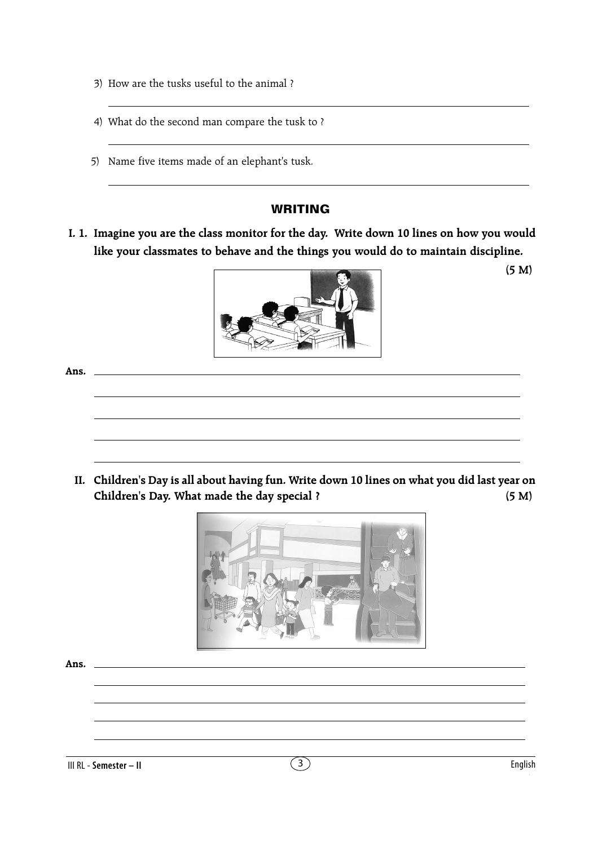- 3) How are the tusks useful to the animal ?
- 4) What do the second man compare the tusk to ?
- 5) Name five items made of an elephant's tusk.

## **WRITING**

 **I. 1. Imagine you are the class monitor for the day. Write down 10 lines on how you would like your classmates to behave and the things you would do to maintain discipline.**



**(5 M)**

**Ans.**

**II. Children's Day is all about having fun. Write down 10 lines on what you did last year on Children's Day. What made the day special ? (5 M)**



**Ans.**

III RL - **Semester – II** 3 English